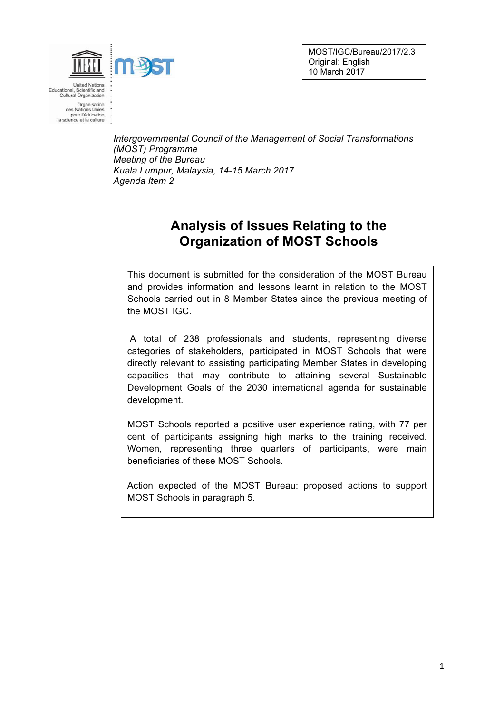MOST/IGC/Bureau/2017/2.3 Original: English 10 March 2017



**United Nation** Educational, Scientific and<br>Cultural Organization

Organisation<br>des Nations Unies pour l'éducation,<br>la science et la culture

> *Intergovernmental Council of the Management of Social Transformations (MOST) Programme Meeting of the Bureau Kuala Lumpur, Malaysia, 14-15 March 2017 Agenda Item 2*

## **Analysis of Issues Relating to the Organization of MOST Schools**

This document is submitted for the consideration of the MOST Bureau and provides information and lessons learnt in relation to the MOST Schools carried out in 8 Member States since the previous meeting of the MOST IGC.

A total of 238 professionals and students, representing diverse categories of stakeholders, participated in MOST Schools that were directly relevant to assisting participating Member States in developing capacities that may contribute to attaining several Sustainable Development Goals of the 2030 international agenda for sustainable development.

MOST Schools reported a positive user experience rating, with 77 per cent of participants assigning high marks to the training received. Women, representing three quarters of participants, were main beneficiaries of these MOST Schools.

Action expected of the MOST Bureau: proposed actions to support MOST Schools in paragraph 5.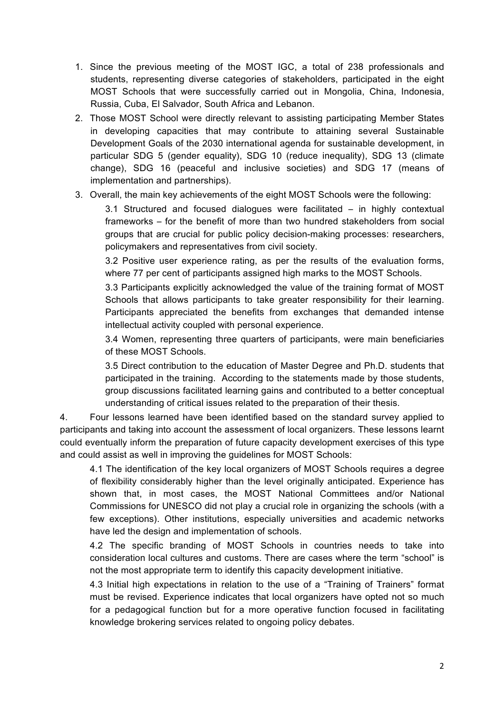- 1. Since the previous meeting of the MOST IGC, a total of 238 professionals and students, representing diverse categories of stakeholders, participated in the eight MOST Schools that were successfully carried out in Mongolia, China, Indonesia, Russia, Cuba, El Salvador, South Africa and Lebanon.
- 2. Those MOST School were directly relevant to assisting participating Member States in developing capacities that may contribute to attaining several Sustainable Development Goals of the 2030 international agenda for sustainable development, in particular SDG 5 (gender equality), SDG 10 (reduce inequality), SDG 13 (climate change), SDG 16 (peaceful and inclusive societies) and SDG 17 (means of implementation and partnerships).
- 3. Overall, the main key achievements of the eight MOST Schools were the following:

3.1 Structured and focused dialogues were facilitated – in highly contextual frameworks – for the benefit of more than two hundred stakeholders from social groups that are crucial for public policy decision-making processes: researchers, policymakers and representatives from civil society.

3.2 Positive user experience rating, as per the results of the evaluation forms, where 77 per cent of participants assigned high marks to the MOST Schools.

3.3 Participants explicitly acknowledged the value of the training format of MOST Schools that allows participants to take greater responsibility for their learning. Participants appreciated the benefits from exchanges that demanded intense intellectual activity coupled with personal experience.

3.4 Women, representing three quarters of participants, were main beneficiaries of these MOST Schools.

3.5 Direct contribution to the education of Master Degree and Ph.D. students that participated in the training. According to the statements made by those students, group discussions facilitated learning gains and contributed to a better conceptual understanding of critical issues related to the preparation of their thesis.

4. Four lessons learned have been identified based on the standard survey applied to participants and taking into account the assessment of local organizers. These lessons learnt could eventually inform the preparation of future capacity development exercises of this type and could assist as well in improving the guidelines for MOST Schools:

4.1 The identification of the key local organizers of MOST Schools requires a degree of flexibility considerably higher than the level originally anticipated. Experience has shown that, in most cases, the MOST National Committees and/or National Commissions for UNESCO did not play a crucial role in organizing the schools (with a few exceptions). Other institutions, especially universities and academic networks have led the design and implementation of schools.

4.2 The specific branding of MOST Schools in countries needs to take into consideration local cultures and customs. There are cases where the term "school" is not the most appropriate term to identify this capacity development initiative.

4.3 Initial high expectations in relation to the use of a "Training of Trainers" format must be revised. Experience indicates that local organizers have opted not so much for a pedagogical function but for a more operative function focused in facilitating knowledge brokering services related to ongoing policy debates.